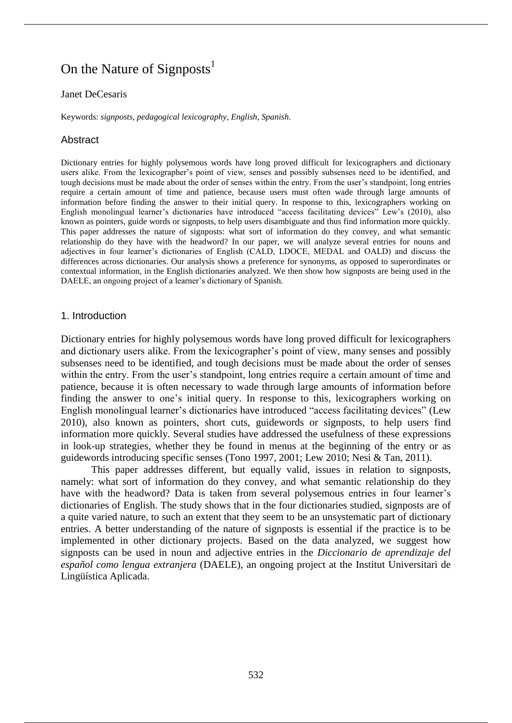# On the Nature of Signposts<sup>1</sup>

#### Janet DeCesaris

Keywords: *signposts*, *pedagogical lexicography*, *English*, *Spanish*.

# **Abstract**

Dictionary entries for highly polysemous words have long proved difficult for lexicographers and dictionary users alike. From the lexicographer's point of view, senses and possibly subsenses need to be identified, and tough decisions must be made about the order of senses within the entry. From the user's standpoint, long entries require a certain amount of time and patience, because users must often wade through large amounts of information before finding the answer to their initial query. In response to this, lexicographers working on English monolingual learner's dictionaries have introduced "access facilitating devices" Lew's (2010), also known as pointers, guide words or signposts, to help users disambiguate and thus find information more quickly. This paper addresses the nature of signposts: what sort of information do they convey, and what semantic relationship do they have with the headword? In our paper, we will analyze several entries for nouns and adjectives in four learner's dictionaries of English (CALD, LDOCE, MEDAL and OALD) and discuss the differences across dictionaries. Our analysis shows a preference for synonyms, as opposed to superordinates or contextual information, in the English dictionaries analyzed. We then show how signposts are being used in the DAELE, an ongoing project of a learner's dictionary of Spanish.

# 1. Introduction

Dictionary entries for highly polysemous words have long proved difficult for lexicographers and dictionary users alike. From the lexicographer's point of view, many senses and possibly subsenses need to be identified, and tough decisions must be made about the order of senses within the entry. From the user's standpoint, long entries require a certain amount of time and patience, because it is often necessary to wade through large amounts of information before finding the answer to one's initial query. In response to this, lexicographers working on English monolingual learner's dictionaries have introduced "access facilitating devices" (Lew 2010), also known as pointers, short cuts, guidewords or signposts, to help users find information more quickly. Several studies have addressed the usefulness of these expressions in look-up strategies, whether they be found in menus at the beginning of the entry or as guidewords introducing specific senses (Tono 1997, 2001; Lew 2010; Nesi & Tan, 2011).

This paper addresses different, but equally valid, issues in relation to signposts, namely: what sort of information do they convey, and what semantic relationship do they have with the headword? Data is taken from several polysemous entries in four learner's dictionaries of English. The study shows that in the four dictionaries studied, signposts are of a quite varied nature, to such an extent that they seem to be an unsystematic part of dictionary entries. A better understanding of the nature of signposts is essential if the practice is to be implemented in other dictionary projects. Based on the data analyzed, we suggest how signposts can be used in noun and adjective entries in the *Diccionario de aprendizaje del español como lengua extranjera* (DAELE), an ongoing project at the Institut Universitari de Lingüística Aplicada.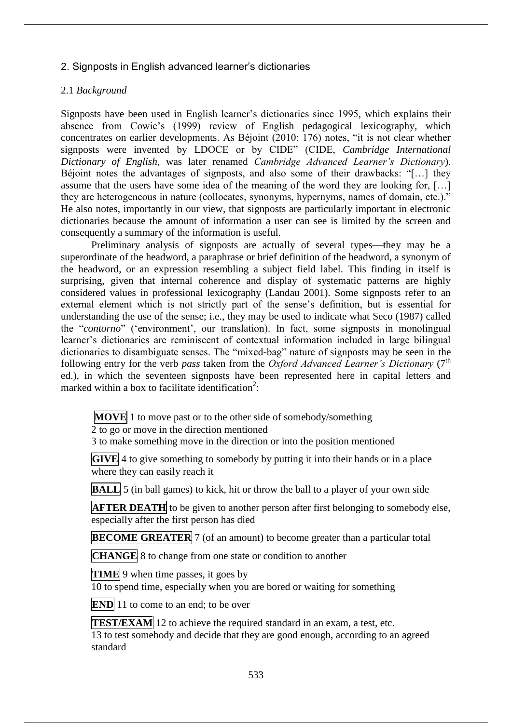# 2. Signposts in English advanced learner's dictionaries

# 2.1 *Background*

Signposts have been used in English learner's dictionaries since 1995, which explains their absence from Cowie's (1999) review of English pedagogical lexicography, which concentrates on earlier developments. As Béjoint (2010: 176) notes, "it is not clear whether signposts were invented by LDOCE or by CIDE" (CIDE, *Cambridge International Dictionary of English*, was later renamed *Cambridge Advanced Learner's Dictionary*). Béjoint notes the advantages of signposts, and also some of their drawbacks: "[…] they assume that the users have some idea of the meaning of the word they are looking for, […] they are heterogeneous in nature (collocates, synonyms, hypernyms, names of domain, etc.)." He also notes, importantly in our view, that signposts are particularly important in electronic dictionaries because the amount of information a user can see is limited by the screen and consequently a summary of the information is useful.

Preliminary analysis of signposts are actually of several types—they may be a superordinate of the headword, a paraphrase or brief definition of the headword, a synonym of the headword, or an expression resembling a subject field label. This finding in itself is surprising, given that internal coherence and display of systematic patterns are highly considered values in professional lexicography (Landau 2001). Some signposts refer to an external element which is not strictly part of the sense's definition, but is essential for understanding the use of the sense; i.e., they may be used to indicate what Seco (1987) called the "*contorno*" ('environment', our translation). In fact, some signposts in monolingual learner's dictionaries are reminiscent of contextual information included in large bilingual dictionaries to disambiguate senses. The "mixed-bag" nature of signposts may be seen in the following entry for the verb *pass* taken from the *Oxford Advanced Learner's Dictionary* (7<sup>th</sup>) ed.), in which the seventeen signposts have been represented here in capital letters and marked within a box to facilitate identification<sup>2</sup>:

**MOVE** 1 to move past or to the other side of somebody/something

 $\overline{2}$  to go or move in the direction mentioned

3 to make something move in the direction or into the position mentioned

**GIVE** 4 to give something to somebody by putting it into their hands or in a place where they can easily reach it

**BALL** 5 (in ball games) to kick, hit or throw the ball to a player of your own side

**AFTER DEATH** to be given to another person after first belonging to somebody else, especially after the first person has died

**BECOME GREATER** 7 (of an amount) to become greater than a particular total

**CHANGE** 8 to change from one state or condition to another

**TIME** 9 when time passes, it goes by

10 to spend time, especially when you are bored or waiting for something

**END** 11 to come to an end; to be over

**TEST/EXAM** 12 to achieve the required standard in an exam, a test, etc. 13 to test somebody and decide that they are good enough, according to an agreed standard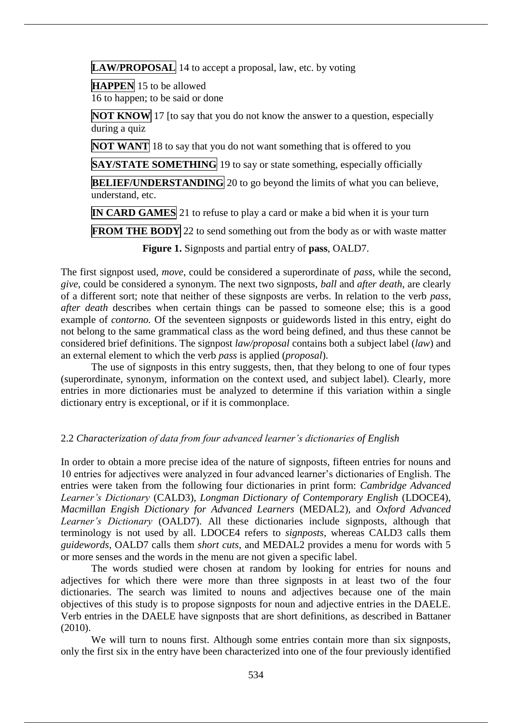**LAW/PROPOSAL** 14 to accept a proposal, law, etc. by voting

**HAPPEN** 15 to be allowed 16 to happen; to be said or done

**NOT KNOW** 17 [to say that you do not know the answer to a question, especially during a quiz

**NOT WANT** 18 to say that you do not want something that is offered to you

**SAY/STATE SOMETHING** 19 to say or state something, especially officially

**BELIEF/UNDERSTANDING** 20 to go beyond the limits of what you can believe, understand, etc.

**IN CARD GAMES** 21 to refuse to play a card or make a bid when it is your turn

**FROM THE BODY** 22 to send something out from the body as or with waste matter

**Figure 1.** Signposts and partial entry of **pass**, OALD7.

The first signpost used, *move*, could be considered a superordinate of *pass*, while the second, *give*, could be considered a synonym. The next two signposts, *ball* and *after death*, are clearly of a different sort; note that neither of these signposts are verbs. In relation to the verb *pass*, *after death* describes when certain things can be passed to someone else; this is a good example of *contorno.* Of the seventeen signposts or guidewords listed in this entry, eight do not belong to the same grammatical class as the word being defined, and thus these cannot be considered brief definitions. The signpost *law/proposal* contains both a subject label (*law*) and an external element to which the verb *pass* is applied (*proposal*).

The use of signposts in this entry suggests, then, that they belong to one of four types (superordinate, synonym, information on the context used, and subject label). Clearly, more entries in more dictionaries must be analyzed to determine if this variation within a single dictionary entry is exceptional, or if it is commonplace.

# 2.2 *Characterization of data from four advanced learner's dictionaries of English*

In order to obtain a more precise idea of the nature of signposts, fifteen entries for nouns and 10 entries for adjectives were analyzed in four advanced learner's dictionaries of English. The entries were taken from the following four dictionaries in print form: *Cambridge Advanced Learner's Dictionary* (CALD3), *Longman Dictionary of Contemporary English* (LDOCE4), *Macmillan Engish Dictionary for Advanced Learners* (MEDAL2), and *Oxford Advanced Learner's Dictionary* (OALD7). All these dictionaries include signposts, although that terminology is not used by all. LDOCE4 refers to *signposts*, whereas CALD3 calls them *guidewords*, OALD7 calls them *short cuts*, and MEDAL2 provides a menu for words with 5 or more senses and the words in the menu are not given a specific label.

The words studied were chosen at random by looking for entries for nouns and adjectives for which there were more than three signposts in at least two of the four dictionaries. The search was limited to nouns and adjectives because one of the main objectives of this study is to propose signposts for noun and adjective entries in the DAELE. Verb entries in the DAELE have signposts that are short definitions, as described in Battaner (2010).

We will turn to nouns first. Although some entries contain more than six signposts, only the first six in the entry have been characterized into one of the four previously identified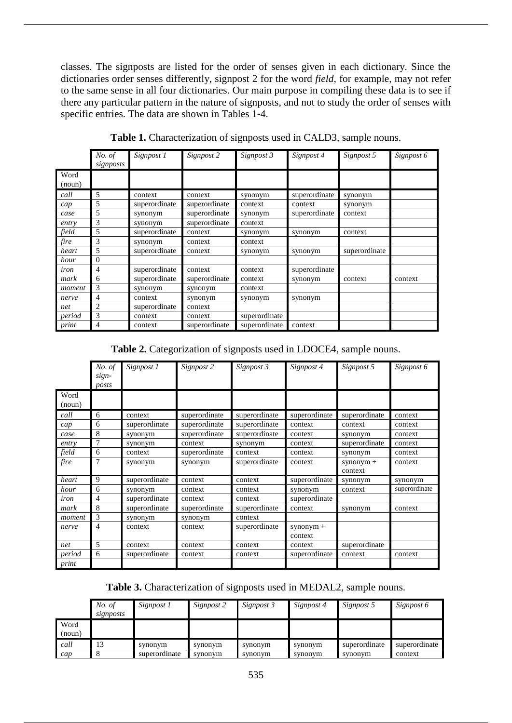classes. The signposts are listed for the order of senses given in each dictionary. Since the dictionaries order senses differently, signpost 2 for the word *field*, for example, may not refer to the same sense in all four dictionaries. Our main purpose in compiling these data is to see if there any particular pattern in the nature of signposts, and not to study the order of senses with specific entries. The data are shown in Tables 1-4.

|                | No. of<br>signposts | Signpost 1    | Signpost 2    | Signpost 3    | Signpost 4    | Signpost 5    | Signpost 6 |
|----------------|---------------------|---------------|---------------|---------------|---------------|---------------|------------|
| Word<br>(noun) |                     |               |               |               |               |               |            |
| call           | 5                   | context       | context       | synonym       | superordinate | synonym       |            |
| cap            | 5                   | superordinate | superordinate | context       | context       | synonym       |            |
| case           | 5                   | synonym       | superordinate | synonym       | superordinate | context       |            |
| entry          | 3                   | synonym       | superordinate | context       |               |               |            |
| field          | 5                   | superordinate | context       | synonym       | synonym       | context       |            |
| fire           | 3                   | synonym       | context       | context       |               |               |            |
| heart          | 5                   | superordinate | context       | synonym       | synonym       | superordinate |            |
| hour           | $\mathbf{0}$        |               |               |               |               |               |            |
| iron           | 4                   | superordinate | context       | context       | superordinate |               |            |
| mark           | 6                   | superordinate | superordinate | context       | synonym       | context       | context    |
| moment         | 3                   | synonym       | synonym       | context       |               |               |            |
| nerve          | 4                   | context       | synonym       | synonym       | synonym       |               |            |
| net            | 2                   | superordinate | context       |               |               |               |            |
| period         | 3                   | context       | context       | superordinate |               |               |            |
| print          | 4                   | context       | superordinate | superordinate | context       |               |            |

**Table 1.** Characterization of signposts used in CALD3, sample nouns.

**Table 2.** Categorization of signposts used in LDOCE4, sample nouns.

|        | No. of<br>sign-<br>posts | Signpost 1    | Signpost 2    | Signpost 3    | Signpost 4    | Signpost 5    | Signpost 6    |
|--------|--------------------------|---------------|---------------|---------------|---------------|---------------|---------------|
| Word   |                          |               |               |               |               |               |               |
| (noun) |                          |               |               |               |               |               |               |
| call   | 6                        | context       | superordinate | superordinate | superordinate | superordinate | context       |
| cap    | 6                        | superordinate | superordinate | superordinate | context       | context       | context       |
| case   | 8                        | synonym       | superordinate | superordinate | context       | synonym       | context       |
| entry  | $\overline{7}$           | synonym       | context       | synonym       | context       | superordinate | context       |
| field  | 6                        | context       | superordinate | context       | context       | synonym       | context       |
| fire   | 7                        | synonym       | synonym       | superordinate | context       | $symonym +$   | context       |
|        |                          |               |               |               |               | context       |               |
| heart  | 9                        | superordinate | context       | context       | superordinate | synonym       | synonym       |
| hour   | 6                        | synonym       | context       | context       | synonym       | context       | superordinate |
| iron   | 4                        | superordinate | context       | context       | superordinate |               |               |
| mark   | 8                        | superordinate | superordinate | superordinate | context       | synonym       | context       |
| moment | 3                        | synonym       | synonym       | context       |               |               |               |
| nerve  | 4                        | context       | context       | superordinate | $symonym +$   |               |               |
|        |                          |               |               |               | context       |               |               |
| net    | 5                        | context       | context       | context       | context       | superordinate |               |
| period | 6                        | superordinate | context       | context       | superordinate | context       | context       |
| print  |                          |               |               |               |               |               |               |

**Table 3.** Characterization of signposts used in MEDAL2, sample nouns.

|                | No. of<br>signposts | Signpost 1    | Signpost 2 | Signpost 3 | Signpost 4 | Signpost 5    | Signpost 6    |
|----------------|---------------------|---------------|------------|------------|------------|---------------|---------------|
| Word<br>(noun) |                     |               |            |            |            |               |               |
| call           | 13                  | synonym       | synonym    | synonym    | synonym    | superordinate | superordinate |
| cap            |                     | superordinate | synonym    | synonym    | synonym    | synonym       | context       |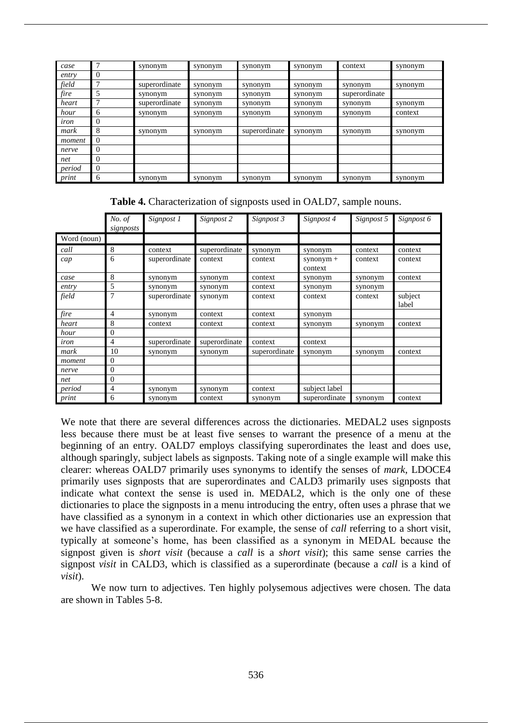| case        |   | synonym       | synonym | synonym       | synonym | context       | synonym |
|-------------|---|---------------|---------|---------------|---------|---------------|---------|
| entry       | 0 |               |         |               |         |               |         |
| field       | 7 | superordinate | synonym | synonym       | synonym | synonym       | synonym |
| fire        | 5 | synonym       | synonym | synonym       | synonym | superordinate |         |
| heart       |   | superordinate | synonym | synonym       | synonym | synonym       | synonym |
| hour        | 6 | synonym       | synonym | synonym       | synonym | synonym       | context |
| <i>tron</i> | 0 |               |         |               |         |               |         |
| mark        | 8 | synonym       | synonym | superordinate | synonym | synonym       | synonym |
| moment      | 0 |               |         |               |         |               |         |
| nerve       | 0 |               |         |               |         |               |         |
| net         | 0 |               |         |               |         |               |         |
| period      | 0 |               |         |               |         |               |         |
| print       | 6 | synonym       | synonym | synonym       | synonym | synonym       | synonym |

**Table 4.** Characterization of signposts used in OALD7, sample nouns.

|             | No. of<br>signposts | Signpost 1    | Signpost 2    | Signpost 3    | Signpost 4             | Signpost 5 | Signpost 6       |
|-------------|---------------------|---------------|---------------|---------------|------------------------|------------|------------------|
| Word (noun) |                     |               |               |               |                        |            |                  |
| call        | 8                   | context       | superordinate | synonym       | synonym                | context    | context          |
| cap         | 6                   | superordinate | context       | context       | $symonym +$<br>context | context    | context          |
| case        | 8                   | synonym       | synonym       | context       | synonym                | synonym    | context          |
| entry       | 5                   | synonym       | synonym       | context       | synonym                | synonym    |                  |
| field       | 7                   | superordinate | synonym       | context       | context                | context    | subject<br>label |
| fire        | $\overline{4}$      | synonym       | context       | context       | synonym                |            |                  |
| heart       | 8                   | context       | context       | context       | synonym                | synonym    | context          |
| hour        | 0                   |               |               |               |                        |            |                  |
| iron        | 4                   | superordinate | superordinate | context       | context                |            |                  |
| mark        | 10                  | synonym       | synonym       | superordinate | synonym                | synonym    | context          |
| moment      | $\Omega$            |               |               |               |                        |            |                  |
| nerve       | $\overline{0}$      |               |               |               |                        |            |                  |
| net         | $\Omega$            |               |               |               |                        |            |                  |
| period      | 4                   | synonym       | synonym       | context       | subject label          |            |                  |
| print       | 6                   | synonym       | context       | synonym       | superordinate          | synonym    | context          |

We note that there are several differences across the dictionaries. MEDAL2 uses signposts less because there must be at least five senses to warrant the presence of a menu at the beginning of an entry. OALD7 employs classifying superordinates the least and does use, although sparingly, subject labels as signposts. Taking note of a single example will make this clearer: whereas OALD7 primarily uses synonyms to identify the senses of *mark*, LDOCE4 primarily uses signposts that are superordinates and CALD3 primarily uses signposts that indicate what context the sense is used in. MEDAL2, which is the only one of these dictionaries to place the signposts in a menu introducing the entry, often uses a phrase that we have classified as a synonym in a context in which other dictionaries use an expression that we have classified as a superordinate. For example, the sense of *call* referring to a short visit, typically at someone's home, has been classified as a synonym in MEDAL because the signpost given is *short visit* (because a *call* is a *short visit*); this same sense carries the signpost *visit* in CALD3, which is classified as a superordinate (because a *call* is a kind of *visit*).

We now turn to adjectives. Ten highly polysemous adjectives were chosen. The data are shown in Tables 5-8.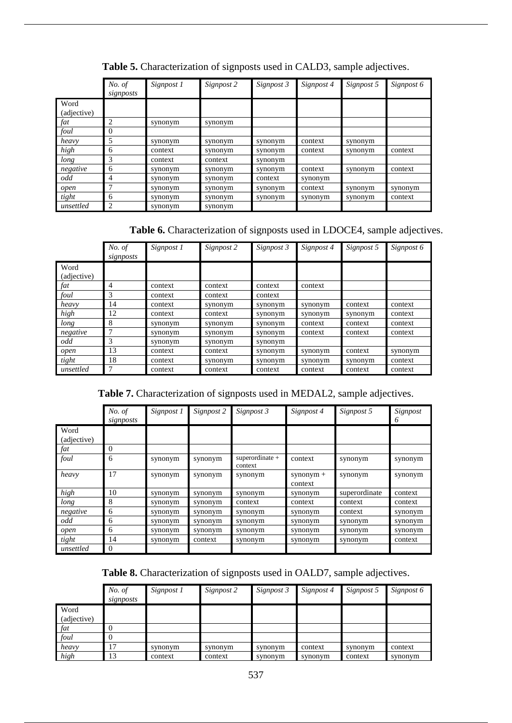|                     | No. of<br>signposts | Signpost 1 | Signpost 2 | Signpost 3 | Signpost 4 | Signpost 5 | Signpost 6 |
|---------------------|---------------------|------------|------------|------------|------------|------------|------------|
| Word<br>(adjective) |                     |            |            |            |            |            |            |
| fat                 | 2                   | synonym    | synonym    |            |            |            |            |
| foul                | $\Omega$            |            |            |            |            |            |            |
| heavy               | 5                   | synonym    | synonym    | synonym    | context    | synonym    |            |
| high                | 6                   | context    | synonym    | synonym    | context    | synonym    | context    |
| long                | 3                   | context    | context    | synonym    |            |            |            |
| negative            | 6                   | synonym    | synonym    | synonym    | context    | synonym    | context    |
| odd                 | 4                   | synonym    | synonym    | context    | synonym    |            |            |
| open                |                     | synonym    | synonym    | synonym    | context    | synonym    | synonym    |
| tight               | 6                   | synonym    | synonym    | synonym    | synonym    | synonym    | context    |
| unsettled           | 2                   | synonym    | synonym    |            |            |            |            |

**Table 5.** Characterization of signposts used in CALD3, sample adjectives.

**Table 6.** Characterization of signposts used in LDOCE4, sample adjectives.

|                     | No. of<br>signposts | Signpost 1 | Signpost 2 | Signpost 3 | Signpost 4 | Signpost 5 | Signpost 6 |
|---------------------|---------------------|------------|------------|------------|------------|------------|------------|
| Word<br>(adjective) |                     |            |            |            |            |            |            |
| fat                 | 4                   | context    | context    | context    | context    |            |            |
| foul                | 3                   | context    | context    | context    |            |            |            |
| heavy               | 14                  | context    | synonym    | synonym    | synonym    | context    | context    |
| high                | 12                  | context    | context    | synonym    | synonym    | synonym    | context    |
| long                | 8                   | synonym    | synonym    | synonym    | context    | context    | context    |
| negative            | 7                   | synonym    | synonym    | synonym    | context    | context    | context    |
| odd                 | 3                   | synonym    | synonym    | synonym    |            |            |            |
| open                | 13                  | context    | context    | synonym    | synonym    | context    | synonym    |
| tight               | 18                  | context    | synonym    | synonym    | synonym    | synonym    | context    |
| unsettled           | 7                   | context    | context    | context    | context    | context    | context    |

**Table 7.** Characterization of signposts used in MEDAL2, sample adjectives.

|                     | No. of<br>signposts | Signpost 1 | Signpost 2 | Signpost 3                    | Signpost 4             | Signpost 5    | Signpost<br>6 |
|---------------------|---------------------|------------|------------|-------------------------------|------------------------|---------------|---------------|
| Word<br>(adjective) |                     |            |            |                               |                        |               |               |
| fat                 | $\theta$            |            |            |                               |                        |               |               |
| foul                | 6                   | synonym    | synonym    | $supercordinate +$<br>context | context                | synonym       | synonym       |
| heavy               | 17                  | synonym    | synonym    | synonym                       | $symonym +$<br>context | synonym       | synonym       |
| high                | 10                  | synonym    | synonym    | synonym                       | synonym                | superordinate | context       |
| long                | 8                   | synonym    | synonym    | context                       | context                | context       | context       |
| negative            | 6                   | synonym    | synonym    | synonym                       | synonym                | context       | synonym       |
| odd                 | 6                   | synonym    | synonym    | synonym                       | synonym                | synonym       | synonym       |
| open                | 6                   | synonym    | synonym    | synonym                       | synonym                | synonym       | synonym       |
| tight               | 14                  | synonym    | context    | synonym                       | synonym                | synonym       | context       |
| unsettled           | $\overline{0}$      |            |            |                               |                        |               |               |

**Table 8.** Characterization of signposts used in OALD7, sample adjectives.

|             | No. of    | Signpost 1 | Signpost 2 | Signpost 3 | Signpost 4 | Signpost 5 | Signpost 6 |
|-------------|-----------|------------|------------|------------|------------|------------|------------|
|             | signposts |            |            |            |            |            |            |
| Word        |           |            |            |            |            |            |            |
| (adjective) |           |            |            |            |            |            |            |
| fat         | $\theta$  |            |            |            |            |            |            |
| foul        |           |            |            |            |            |            |            |
| heavy       | 17        | synonym    | synonym    | synonym    | context    | synonym    | context    |
| high        | 13        | context    | context    | synonym    | synonym    | context    | synonym    |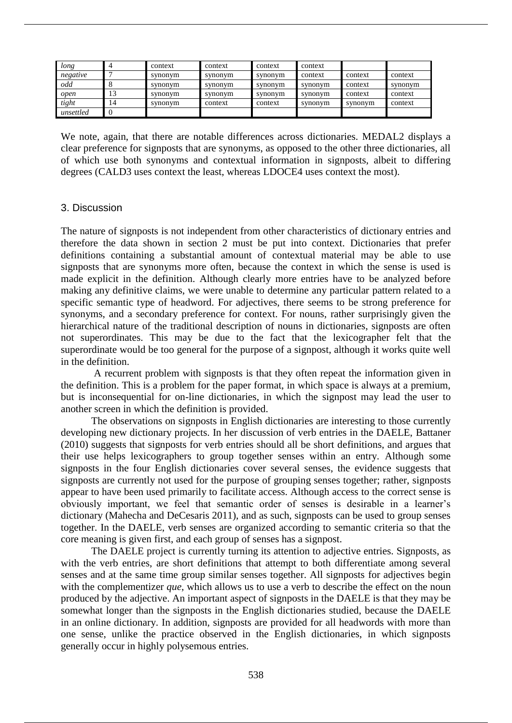| long      | 4        | context | context | context | context |         |         |
|-----------|----------|---------|---------|---------|---------|---------|---------|
| negative  |          | synonym | synonym | synonym | context | context | context |
| odd       |          | synonym | synonym | synonym | synonym | context | synonym |
| open      | IJ       | synonym | synonym | synonym | synonym | context | context |
| tight     | 14       | synonym | context | context | synonym | synonym | context |
| unsettled | $\theta$ |         |         |         |         |         |         |

We note, again, that there are notable differences across dictionaries. MEDAL2 displays a clear preference for signposts that are synonyms, as opposed to the other three dictionaries, all of which use both synonyms and contextual information in signposts, albeit to differing degrees (CALD3 uses context the least, whereas LDOCE4 uses context the most).

## 3. Discussion

The nature of signposts is not independent from other characteristics of dictionary entries and therefore the data shown in section 2 must be put into context. Dictionaries that prefer definitions containing a substantial amount of contextual material may be able to use signposts that are synonyms more often, because the context in which the sense is used is made explicit in the definition. Although clearly more entries have to be analyzed before making any definitive claims, we were unable to determine any particular pattern related to a specific semantic type of headword. For adjectives, there seems to be strong preference for synonyms, and a secondary preference for context. For nouns, rather surprisingly given the hierarchical nature of the traditional description of nouns in dictionaries, signposts are often not superordinates. This may be due to the fact that the lexicographer felt that the superordinate would be too general for the purpose of a signpost, although it works quite well in the definition.

A recurrent problem with signposts is that they often repeat the information given in the definition. This is a problem for the paper format, in which space is always at a premium, but is inconsequential for on-line dictionaries, in which the signpost may lead the user to another screen in which the definition is provided.

The observations on signposts in English dictionaries are interesting to those currently developing new dictionary projects. In her discussion of verb entries in the DAELE, Battaner (2010) suggests that signposts for verb entries should all be short definitions, and argues that their use helps lexicographers to group together senses within an entry. Although some signposts in the four English dictionaries cover several senses, the evidence suggests that signposts are currently not used for the purpose of grouping senses together; rather, signposts appear to have been used primarily to facilitate access. Although access to the correct sense is obviously important, we feel that semantic order of senses is desirable in a learner's dictionary (Mahecha and DeCesaris 2011), and as such, signposts can be used to group senses together. In the DAELE, verb senses are organized according to semantic criteria so that the core meaning is given first, and each group of senses has a signpost.

The DAELE project is currently turning its attention to adjective entries. Signposts, as with the verb entries, are short definitions that attempt to both differentiate among several senses and at the same time group similar senses together. All signposts for adjectives begin with the complementizer *que*, which allows us to use a verb to describe the effect on the noun produced by the adjective. An important aspect of signposts in the DAELE is that they may be somewhat longer than the signposts in the English dictionaries studied, because the DAELE in an online dictionary. In addition, signposts are provided for all headwords with more than one sense, unlike the practice observed in the English dictionaries, in which signposts generally occur in highly polysemous entries.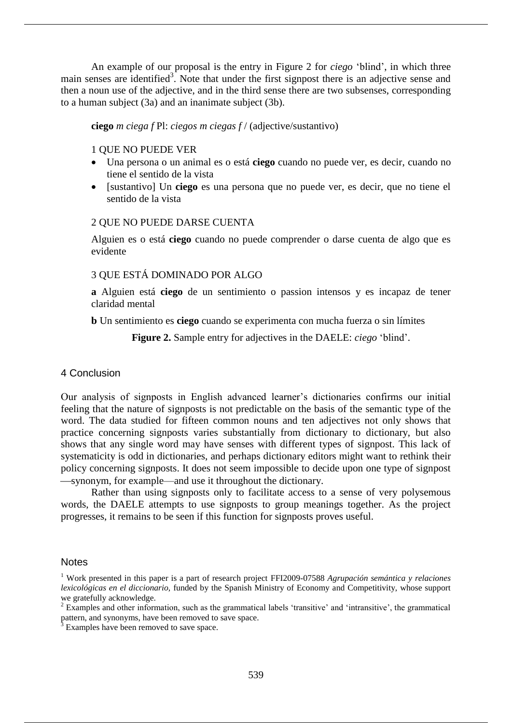An example of our proposal is the entry in Figure 2 for *ciego* 'blind', in which three main senses are identified<sup>3</sup>. Note that under the first signpost there is an adjective sense and then a noun use of the adjective, and in the third sense there are two subsenses, corresponding to a human subject (3a) and an inanimate subject (3b).

#### **ciego** *m ciega f* Pl: *ciegos m ciegas f* / (adjective/sustantivo)

## 1 QUE NO PUEDE VER

- Una persona o un animal es o está **ciego** cuando no puede ver, es decir, cuando no tiene el sentido de la vista
- [sustantivo] Un **ciego** es una persona que no puede ver, es decir, que no tiene el sentido de la vista

## 2 QUE NO PUEDE DARSE CUENTA

Alguien es o está **ciego** cuando no puede comprender o darse cuenta de algo que es evidente

## 3 QUE ESTÁ DOMINADO POR ALGO

**a** Alguien está **ciego** de un sentimiento o passion intensos y es incapaz de tener claridad mental

**b** Un sentimiento es **ciego** cuando se experimenta con mucha fuerza o sin límites

**Figure 2.** Sample entry for adjectives in the DAELE: *ciego* 'blind'.

#### 4 Conclusion

Our analysis of signposts in English advanced learner's dictionaries confirms our initial feeling that the nature of signposts is not predictable on the basis of the semantic type of the word. The data studied for fifteen common nouns and ten adjectives not only shows that practice concerning signposts varies substantially from dictionary to dictionary, but also shows that any single word may have senses with different types of signpost. This lack of systematicity is odd in dictionaries, and perhaps dictionary editors might want to rethink their policy concerning signposts. It does not seem impossible to decide upon one type of signpost synonym, for example—and use it throughout the dictionary.

Rather than using signposts only to facilitate access to a sense of very polysemous words, the DAELE attempts to use signposts to group meanings together. As the project progresses, it remains to be seen if this function for signposts proves useful.

#### **Notes**

<sup>1</sup> Work presented in this paper is a part of research project FFI2009-07588 *Agrupación semántica y relaciones lexicológicas en el diccionario,* funded by the Spanish Ministry of Economy and Competitivity, whose support we gratefully acknowledge.

<sup>&</sup>lt;sup>2</sup> Examples and other information, such as the grammatical labels 'transitive' and 'intransitive', the grammatical pattern, and synonyms, have been removed to save space.

Examples have been removed to save space.